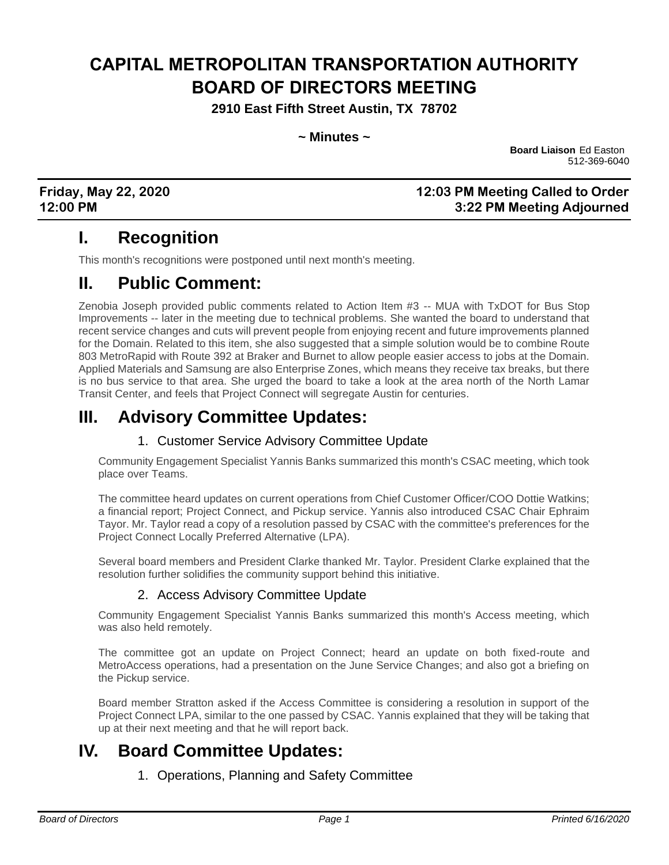# **CAPITAL METROPOLITAN TRANSPORTATION AUTHORITY BOARD OF DIRECTORS MEETING**

**2910 East Fifth Street Austin, TX 78702**

**~ Minutes ~**

**Board Liaison** Ed Easton 512-369-6040

## **Friday, May 22, 2020 12:03 PM Meeting Called to Order 12:00 PM 3:22 PM Meeting Adjourned**

# **I. Recognition**

This month's recognitions were postponed until next month's meeting.

# **II. Public Comment:**

Zenobia Joseph provided public comments related to Action Item #3 -- MUA with TxDOT for Bus Stop Improvements -- later in the meeting due to technical problems. She wanted the board to understand that recent service changes and cuts will prevent people from enjoying recent and future improvements planned for the Domain. Related to this item, she also suggested that a simple solution would be to combine Route 803 MetroRapid with Route 392 at Braker and Burnet to allow people easier access to jobs at the Domain. Applied Materials and Samsung are also Enterprise Zones, which means they receive tax breaks, but there is no bus service to that area. She urged the board to take a look at the area north of the North Lamar Transit Center, and feels that Project Connect will segregate Austin for centuries.

# **III. Advisory Committee Updates:**

## 1. Customer Service Advisory Committee Update

Community Engagement Specialist Yannis Banks summarized this month's CSAC meeting, which took place over Teams.

The committee heard updates on current operations from Chief Customer Officer/COO Dottie Watkins; a financial report; Project Connect, and Pickup service. Yannis also introduced CSAC Chair Ephraim Tayor. Mr. Taylor read a copy of a resolution passed by CSAC with the committee's preferences for the Project Connect Locally Preferred Alternative (LPA).

Several board members and President Clarke thanked Mr. Taylor. President Clarke explained that the resolution further solidifies the community support behind this initiative.

## 2. Access Advisory Committee Update

Community Engagement Specialist Yannis Banks summarized this month's Access meeting, which was also held remotely.

The committee got an update on Project Connect; heard an update on both fixed-route and MetroAccess operations, had a presentation on the June Service Changes; and also got a briefing on the Pickup service.

Board member Stratton asked if the Access Committee is considering a resolution in support of the Project Connect LPA, similar to the one passed by CSAC. Yannis explained that they will be taking that up at their next meeting and that he will report back.

# **IV. Board Committee Updates:**

## 1. Operations, Planning and Safety Committee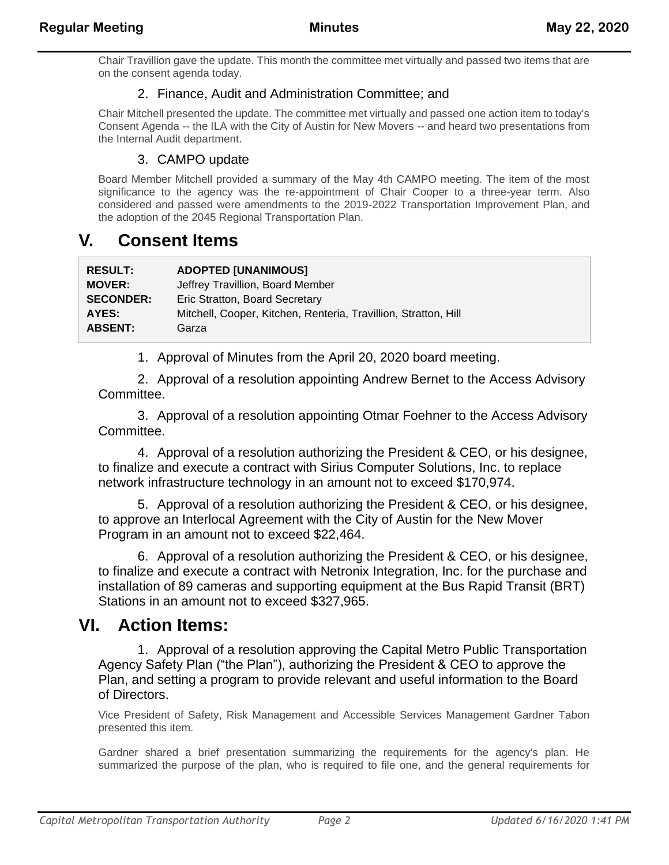Chair Travillion gave the update. This month the committee met virtually and passed two items that are on the consent agenda today.

## 2. Finance, Audit and Administration Committee; and

Chair Mitchell presented the update. The committee met virtually and passed one action item to today's Consent Agenda -- the ILA with the City of Austin for New Movers -- and heard two presentations from the Internal Audit department.

## 3. CAMPO update

Board Member Mitchell provided a summary of the May 4th CAMPO meeting. The item of the most significance to the agency was the re-appointment of Chair Cooper to a three-year term. Also considered and passed were amendments to the 2019-2022 Transportation Improvement Plan, and the adoption of the 2045 Regional Transportation Plan.

# **V. Consent Items**

| <b>RESULT:</b>   | <b>ADOPTED [UNANIMOUS]</b>                                      |
|------------------|-----------------------------------------------------------------|
| <b>MOVER:</b>    | Jeffrey Travillion, Board Member                                |
| <b>SECONDER:</b> | Eric Stratton, Board Secretary                                  |
| AYES:            | Mitchell, Cooper, Kitchen, Renteria, Travillion, Stratton, Hill |
| <b>ABSENT:</b>   | Garza                                                           |
|                  |                                                                 |

1. Approval of Minutes from the April 20, 2020 board meeting.

2. Approval of a resolution appointing Andrew Bernet to the Access Advisory Committee.

3. Approval of a resolution appointing Otmar Foehner to the Access Advisory Committee.

4. Approval of a resolution authorizing the President & CEO, or his designee, to finalize and execute a contract with Sirius Computer Solutions, Inc. to replace network infrastructure technology in an amount not to exceed \$170,974.

5. Approval of a resolution authorizing the President & CEO, or his designee, to approve an Interlocal Agreement with the City of Austin for the New Mover Program in an amount not to exceed \$22,464.

6. Approval of a resolution authorizing the President & CEO, or his designee, to finalize and execute a contract with Netronix Integration, Inc. for the purchase and installation of 89 cameras and supporting equipment at the Bus Rapid Transit (BRT) Stations in an amount not to exceed \$327,965.

# **VI. Action Items:**

1. Approval of a resolution approving the Capital Metro Public Transportation Agency Safety Plan ("the Plan"), authorizing the President & CEO to approve the Plan, and setting a program to provide relevant and useful information to the Board of Directors.

Vice President of Safety, Risk Management and Accessible Services Management Gardner Tabon presented this item.

Gardner shared a brief presentation summarizing the requirements for the agency's plan. He summarized the purpose of the plan, who is required to file one, and the general requirements for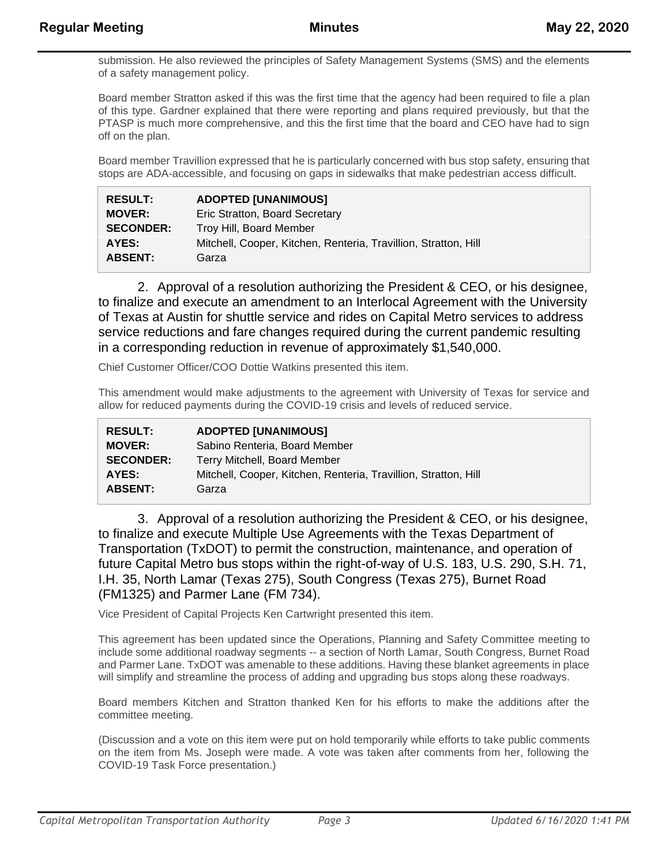submission. He also reviewed the principles of Safety Management Systems (SMS) and the elements of a safety management policy.

Board member Stratton asked if this was the first time that the agency had been required to file a plan of this type. Gardner explained that there were reporting and plans required previously, but that the PTASP is much more comprehensive, and this the first time that the board and CEO have had to sign off on the plan.

Board member Travillion expressed that he is particularly concerned with bus stop safety, ensuring that stops are ADA-accessible, and focusing on gaps in sidewalks that make pedestrian access difficult.

| <b>RESULT:</b>   | <b>ADOPTED [UNANIMOUS]</b>                                      |
|------------------|-----------------------------------------------------------------|
| <b>MOVER:</b>    | Eric Stratton, Board Secretary                                  |
| <b>SECONDER:</b> | Troy Hill, Board Member                                         |
| AYES:            | Mitchell, Cooper, Kitchen, Renteria, Travillion, Stratton, Hill |
| <b>ABSENT:</b>   | Garza                                                           |

2. Approval of a resolution authorizing the President & CEO, or his designee, to finalize and execute an amendment to an Interlocal Agreement with the University of Texas at Austin for shuttle service and rides on Capital Metro services to address service reductions and fare changes required during the current pandemic resulting in a corresponding reduction in revenue of approximately \$1,540,000.

Chief Customer Officer/COO Dottie Watkins presented this item.

This amendment would make adjustments to the agreement with University of Texas for service and allow for reduced payments during the COVID-19 crisis and levels of reduced service.

| <b>RESULT:</b>   | <b>ADOPTED [UNANIMOUS]</b>                                      |
|------------------|-----------------------------------------------------------------|
| <b>MOVER:</b>    | Sabino Renteria, Board Member                                   |
| <b>SECONDER:</b> | Terry Mitchell, Board Member                                    |
| AYES:            | Mitchell, Cooper, Kitchen, Renteria, Travillion, Stratton, Hill |
| <b>ABSENT:</b>   | Garza                                                           |

3. Approval of a resolution authorizing the President & CEO, or his designee, to finalize and execute Multiple Use Agreements with the Texas Department of Transportation (TxDOT) to permit the construction, maintenance, and operation of future Capital Metro bus stops within the right-of-way of U.S. 183, U.S. 290, S.H. 71, I.H. 35, North Lamar (Texas 275), South Congress (Texas 275), Burnet Road (FM1325) and Parmer Lane (FM 734).

Vice President of Capital Projects Ken Cartwright presented this item.

This agreement has been updated since the Operations, Planning and Safety Committee meeting to include some additional roadway segments -- a section of North Lamar, South Congress, Burnet Road and Parmer Lane. TxDOT was amenable to these additions. Having these blanket agreements in place will simplify and streamline the process of adding and upgrading bus stops along these roadways.

Board members Kitchen and Stratton thanked Ken for his efforts to make the additions after the committee meeting.

(Discussion and a vote on this item were put on hold temporarily while efforts to take public comments on the item from Ms. Joseph were made. A vote was taken after comments from her, following the COVID-19 Task Force presentation.)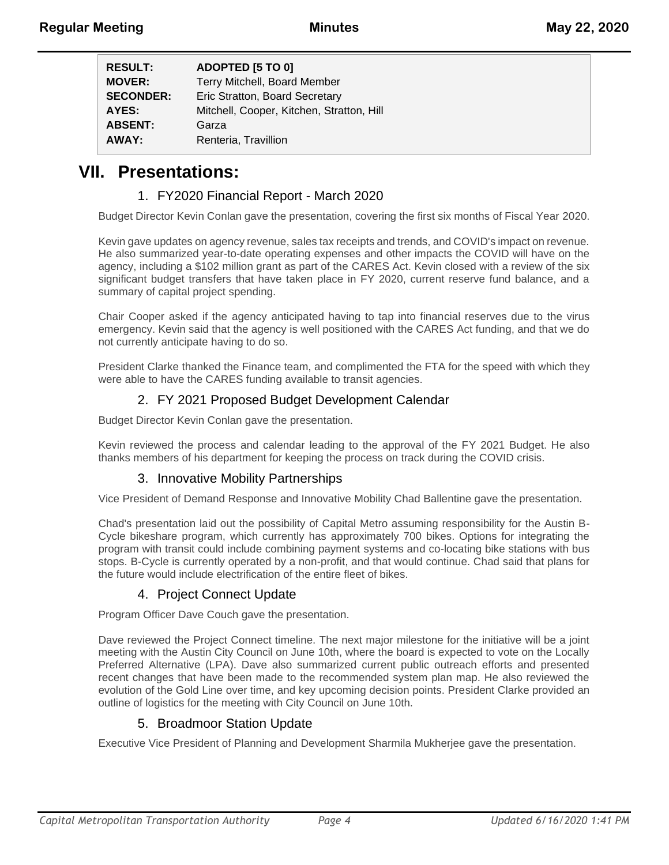| <b>RESULT:</b>   | ADOPTED [5 TO 0]                          |
|------------------|-------------------------------------------|
| <b>MOVER:</b>    | Terry Mitchell, Board Member              |
| <b>SECONDER:</b> | Eric Stratton, Board Secretary            |
| AYES:            | Mitchell, Cooper, Kitchen, Stratton, Hill |
| <b>ABSENT:</b>   | Garza                                     |
| AWAY:            | Renteria, Travillion                      |

# **VII. Presentations:**

## 1. FY2020 Financial Report - March 2020

Budget Director Kevin Conlan gave the presentation, covering the first six months of Fiscal Year 2020.

Kevin gave updates on agency revenue, sales tax receipts and trends, and COVID's impact on revenue. He also summarized year-to-date operating expenses and other impacts the COVID will have on the agency, including a \$102 million grant as part of the CARES Act. Kevin closed with a review of the six significant budget transfers that have taken place in FY 2020, current reserve fund balance, and a summary of capital project spending.

Chair Cooper asked if the agency anticipated having to tap into financial reserves due to the virus emergency. Kevin said that the agency is well positioned with the CARES Act funding, and that we do not currently anticipate having to do so.

President Clarke thanked the Finance team, and complimented the FTA for the speed with which they were able to have the CARES funding available to transit agencies.

## 2. FY 2021 Proposed Budget Development Calendar

Budget Director Kevin Conlan gave the presentation.

Kevin reviewed the process and calendar leading to the approval of the FY 2021 Budget. He also thanks members of his department for keeping the process on track during the COVID crisis.

## 3. Innovative Mobility Partnerships

Vice President of Demand Response and Innovative Mobility Chad Ballentine gave the presentation.

Chad's presentation laid out the possibility of Capital Metro assuming responsibility for the Austin B-Cycle bikeshare program, which currently has approximately 700 bikes. Options for integrating the program with transit could include combining payment systems and co-locating bike stations with bus stops. B-Cycle is currently operated by a non-profit, and that would continue. Chad said that plans for the future would include electrification of the entire fleet of bikes.

## 4. Project Connect Update

Program Officer Dave Couch gave the presentation.

Dave reviewed the Project Connect timeline. The next major milestone for the initiative will be a joint meeting with the Austin City Council on June 10th, where the board is expected to vote on the Locally Preferred Alternative (LPA). Dave also summarized current public outreach efforts and presented recent changes that have been made to the recommended system plan map. He also reviewed the evolution of the Gold Line over time, and key upcoming decision points. President Clarke provided an outline of logistics for the meeting with City Council on June 10th.

## 5. Broadmoor Station Update

Executive Vice President of Planning and Development Sharmila Mukherjee gave the presentation.